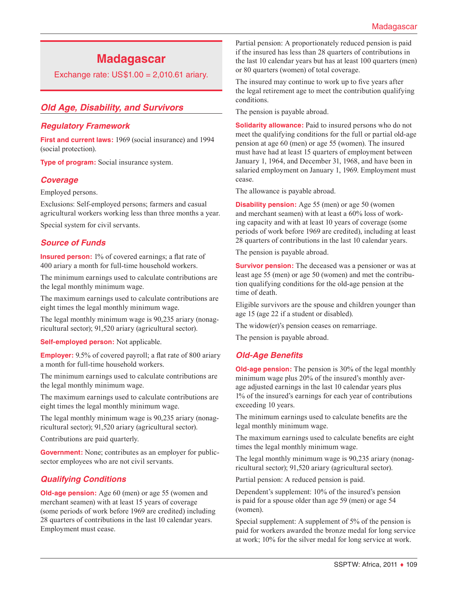# **Madagascar**

Exchange rate: US\$1.00 = 2,010.61 ariary.

# *Old Age, Disability, and Survivors*

#### *Regulatory Framework*

**First and current laws:** 1969 (social insurance) and 1994 (social protection).

**Type of program:** Social insurance system.

#### *Coverage*

Employed persons.

Exclusions: Self-employed persons; farmers and casual agricultural workers working less than three months a year.

Special system for civil servants.

### *Source of Funds*

**Insured person:** 1% of covered earnings; a flat rate of 400 ariary a month for full-time household workers.

The minimum earnings used to calculate contributions are the legal monthly minimum wage.

The maximum earnings used to calculate contributions are eight times the legal monthly minimum wage.

The legal monthly minimum wage is 90,235 ariary (nonagricultural sector); 91,520 ariary (agricultural sector).

**Self-employed person:** Not applicable.

**Employer:** 9.5% of covered payroll; a flat rate of 800 ariary a month for full-time household workers.

The minimum earnings used to calculate contributions are the legal monthly minimum wage.

The maximum earnings used to calculate contributions are eight times the legal monthly minimum wage.

The legal monthly minimum wage is 90,235 ariary (nonagricultural sector); 91,520 ariary (agricultural sector).

Contributions are paid quarterly.

**Government:** None; contributes as an employer for publicsector employees who are not civil servants.

### *Qualifying Conditions*

**Old-age pension:** Age 60 (men) or age 55 (women and merchant seamen) with at least 15 years of coverage (some periods of work before 1969 are credited) including 28 quarters of contributions in the last 10 calendar years. Employment must cease.

Partial pension: A proportionately reduced pension is paid if the insured has less than 28 quarters of contributions in the last 10 calendar years but has at least 100 quarters (men) or 80 quarters (women) of total coverage.

The insured may continue to work up to five years after the legal retirement age to meet the contribution qualifying conditions.

The pension is payable abroad.

**Solidarity allowance:** Paid to insured persons who do not meet the qualifying conditions for the full or partial old-age pension at age 60 (men) or age 55 (women). The insured must have had at least 15 quarters of employment between January 1, 1964, and December 31, 1968, and have been in salaried employment on January 1, 1969. Employment must cease.

The allowance is payable abroad.

**Disability pension:** Age 55 (men) or age 50 (women and merchant seamen) with at least a 60% loss of working capacity and with at least 10 years of coverage (some periods of work before 1969 are credited), including at least 28 quarters of contributions in the last 10 calendar years.

The pension is payable abroad.

**Survivor pension:** The deceased was a pensioner or was at least age 55 (men) or age 50 (women) and met the contribution qualifying conditions for the old-age pension at the time of death.

Eligible survivors are the spouse and children younger than age 15 (age 22 if a student or disabled).

The widow(er)'s pension ceases on remarriage.

The pension is payable abroad.

### *Old-Age Benefits*

**Old-age pension:** The pension is 30% of the legal monthly minimum wage plus 20% of the insured's monthly average adjusted earnings in the last 10 calendar years plus 1% of the insured's earnings for each year of contributions exceeding 10 years.

The minimum earnings used to calculate benefits are the legal monthly minimum wage.

The maximum earnings used to calculate benefits are eight times the legal monthly minimum wage.

The legal monthly minimum wage is 90,235 ariary (nonagricultural sector); 91,520 ariary (agricultural sector).

Partial pension: A reduced pension is paid.

Dependent's supplement: 10% of the insured's pension is paid for a spouse older than age 59 (men) or age 54 (women).

Special supplement: A supplement of 5% of the pension is paid for workers awarded the bronze medal for long service at work; 10% for the silver medal for long service at work.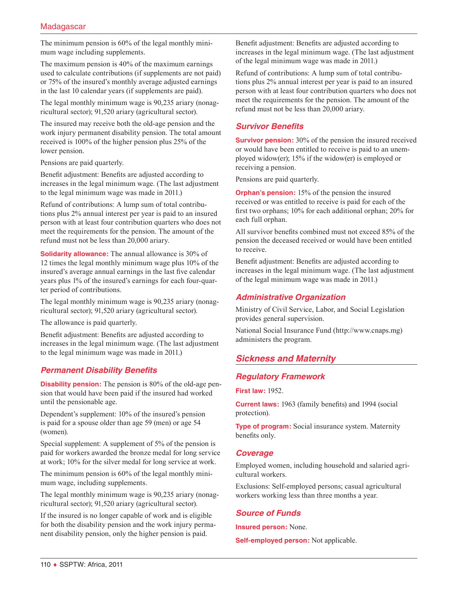The minimum pension is 60% of the legal monthly minimum wage including supplements.

The maximum pension is 40% of the maximum earnings used to calculate contributions (if supplements are not paid) or 75% of the insured's monthly average adjusted earnings in the last 10 calendar years (if supplements are paid).

The legal monthly minimum wage is 90,235 ariary (nonagricultural sector); 91,520 ariary (agricultural sector).

The insured may receive both the old-age pension and the work injury permanent disability pension. The total amount received is 100% of the higher pension plus 25% of the lower pension.

Pensions are paid quarterly.

Benefit adjustment: Benefits are adjusted according to increases in the legal minimum wage. (The last adjustment to the legal minimum wage was made in 2011.)

Refund of contributions: A lump sum of total contributions plus 2% annual interest per year is paid to an insured person with at least four contribution quarters who does not meet the requirements for the pension. The amount of the refund must not be less than 20,000 ariary.

**Solidarity allowance:** The annual allowance is 30% of 12 times the legal monthly minimum wage plus 10% of the insured's average annual earnings in the last five calendar years plus 1% of the insured's earnings for each four-quarter period of contributions.

The legal monthly minimum wage is 90,235 ariary (nonagricultural sector); 91,520 ariary (agricultural sector).

The allowance is paid quarterly.

Benefit adjustment: Benefits are adjusted according to increases in the legal minimum wage. (The last adjustment to the legal minimum wage was made in 2011.)

# *Permanent Disability Benefits*

**Disability pension:** The pension is 80% of the old-age pension that would have been paid if the insured had worked until the pensionable age.

Dependent's supplement: 10% of the insured's pension is paid for a spouse older than age 59 (men) or age 54 (women).

Special supplement: A supplement of 5% of the pension is paid for workers awarded the bronze medal for long service at work; 10% for the silver medal for long service at work.

The minimum pension is 60% of the legal monthly minimum wage, including supplements.

The legal monthly minimum wage is 90,235 ariary (nonagricultural sector); 91,520 ariary (agricultural sector).

If the insured is no longer capable of work and is eligible for both the disability pension and the work injury permanent disability pension, only the higher pension is paid.

Benefit adjustment: Benefits are adjusted according to increases in the legal minimum wage. (The last adjustment of the legal minimum wage was made in 2011.)

Refund of contributions: A lump sum of total contributions plus 2% annual interest per year is paid to an insured person with at least four contribution quarters who does not meet the requirements for the pension. The amount of the refund must not be less than 20,000 ariary.

# *Survivor Benefits*

**Survivor pension:** 30% of the pension the insured received or would have been entitled to receive is paid to an unemployed widow(er); 15% if the widow(er) is employed or receiving a pension.

Pensions are paid quarterly.

**Orphan's pension:** 15% of the pension the insured received or was entitled to receive is paid for each of the first two orphans; 10% for each additional orphan; 20% for each full orphan.

All survivor benefits combined must not exceed 85% of the pension the deceased received or would have been entitled to receive.

Benefit adjustment: Benefits are adjusted according to increases in the legal minimum wage. (The last adjustment of the legal minimum wage was made in 2011.)

# *Administrative Organization*

Ministry of Civil Service, Labor, and Social Legislation provides general supervision.

National Social Insurance Fund ([http://www.cnaps.mg\)](http://www.cnaps.mg) administers the program.

# *Sickness and Maternity*

# *Regulatory Framework*

**First law:** 1952.

**Current laws:** 1963 (family benefits) and 1994 (social protection).

**Type of program:** Social insurance system. Maternity benefits only.

# *Coverage*

Employed women, including household and salaried agricultural workers.

Exclusions: Self-employed persons; casual agricultural workers working less than three months a year.

# *Source of Funds*

**Insured person:** None.

**Self-employed person:** Not applicable.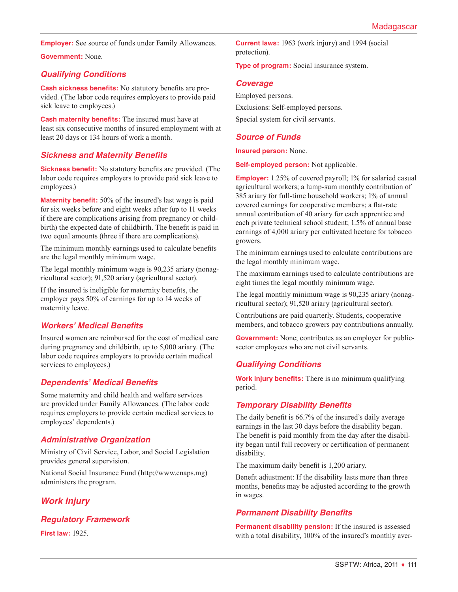**Employer:** See source of funds under Family Allowances.

**Government:** None.

# *Qualifying Conditions*

**Cash sickness benefits:** No statutory benefits are provided. (The labor code requires employers to provide paid sick leave to employees.)

**Cash maternity benefits:** The insured must have at least six consecutive months of insured employment with at least 20 days or 134 hours of work a month.

### *Sickness and Maternity Benefits*

**Sickness benefit:** No statutory benefits are provided. (The labor code requires employers to provide paid sick leave to employees.)

**Maternity benefit:** 50% of the insured's last wage is paid for six weeks before and eight weeks after (up to 11 weeks if there are complications arising from pregnancy or childbirth) the expected date of childbirth. The benefit is paid in two equal amounts (three if there are complications).

The minimum monthly earnings used to calculate benefits are the legal monthly minimum wage.

The legal monthly minimum wage is 90,235 ariary (nonagricultural sector); 91,520 ariary (agricultural sector).

If the insured is ineligible for maternity benefits, the employer pays 50% of earnings for up to 14 weeks of maternity leave.

# *Workers' Medical Benefits*

Insured women are reimbursed for the cost of medical care during pregnancy and childbirth, up to 5,000 ariary. (The labor code requires employers to provide certain medical services to employees.)

# *Dependents' Medical Benefits*

Some maternity and child health and welfare services are provided under Family Allowances. (The labor code requires employers to provide certain medical services to employees' dependents.)

# *Administrative Organization*

Ministry of Civil Service, Labor, and Social Legislation provides general supervision.

National Social Insurance Fund ([http://www.cnaps.mg\)](http://www.cnaps.mg) administers the program.

# *Work Injury*

*Regulatory Framework*

**First law:** 1925.

**Current laws:** 1963 (work injury) and 1994 (social protection).

**Type of program:** Social insurance system.

#### *Coverage*

Employed persons. Exclusions: Self-employed persons. Special system for civil servants.

# *Source of Funds*

**Insured person:** None.

**Self-employed person:** Not applicable.

**Employer:** 1.25% of covered payroll; 1% for salaried casual agricultural workers; a lump-sum monthly contribution of 385 ariary for full-time household workers; 1% of annual covered earnings for cooperative members; a flat-rate annual contribution of 40 ariary for each apprentice and each private technical school student; 1.5% of annual base earnings of 4,000 ariary per cultivated hectare for tobacco growers.

The minimum earnings used to calculate contributions are the legal monthly minimum wage.

The maximum earnings used to calculate contributions are eight times the legal monthly minimum wage.

The legal monthly minimum wage is 90,235 ariary (nonagricultural sector); 91,520 ariary (agricultural sector).

Contributions are paid quarterly. Students, cooperative members, and tobacco growers pay contributions annually.

**Government:** None; contributes as an employer for publicsector employees who are not civil servants.

# *Qualifying Conditions*

**Work injury benefits:** There is no minimum qualifying period.

### *Temporary Disability Benefits*

The daily benefit is 66.7% of the insured's daily average earnings in the last 30 days before the disability began. The benefit is paid monthly from the day after the disability began until full recovery or certification of permanent disability.

The maximum daily benefit is 1,200 ariary.

Benefit adjustment: If the disability lasts more than three months, benefits may be adjusted according to the growth in wages.

### *Permanent Disability Benefits*

**Permanent disability pension:** If the insured is assessed with a total disability, 100% of the insured's monthly aver-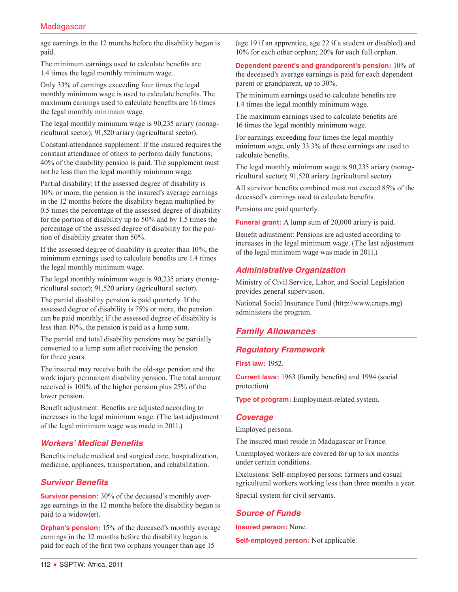age earnings in the 12 months before the disability began is paid.

The minimum earnings used to calculate benefits are 1.4 times the legal monthly minimum wage.

Only 33% of earnings exceeding four times the legal monthly minimum wage is used to calculate benefits. The maximum earnings used to calculate benefits are 16 times the legal monthly minimum wage.

The legal monthly minimum wage is 90,235 ariary (nonagricultural sector); 91,520 ariary (agricultural sector).

Constant-attendance supplement: If the insured requires the constant attendance of others to perform daily functions, 40% of the disability pension is paid. The supplement must not be less than the legal monthly minimum wage.

Partial disability: If the assessed degree of disability is 10% or more, the pension is the insured's average earnings in the 12 months before the disability began multiplied by 0.5 times the percentage of the assessed degree of disability for the portion of disability up to 50% and by 1.5 times the percentage of the assessed degree of disability for the portion of disability greater than 50%.

If the assessed degree of disability is greater than 10%, the minimum earnings used to calculate benefits are 1.4 times the legal monthly minimum wage.

The legal monthly minimum wage is 90,235 ariary (nonagricultural sector); 91,520 ariary (agricultural sector).

The partial disability pension is paid quarterly. If the assessed degree of disability is 75% or more, the pension can be paid monthly; if the assessed degree of disability is less than 10%, the pension is paid as a lump sum.

The partial and total disability pensions may be partially converted to a lump sum after receiving the pension for three years.

The insured may receive both the old-age pension and the work injury permanent disability pension. The total amount received is 100% of the higher pension plus 25% of the lower pension.

Benefit adjustment: Benefits are adjusted according to increases in the legal minimum wage. (The last adjustment of the legal minimum wage was made in 2011.)

# *Workers' Medical Benefits*

Benefits include medical and surgical care, hospitalization, medicine, appliances, transportation, and rehabilitation.

### *Survivor Benefits*

**Survivor pension:** 30% of the deceased's monthly average earnings in the 12 months before the disability began is paid to a widow(er).

**Orphan's pension:** 15% of the deceased's monthly average earnings in the 12 months before the disability began is paid for each of the first two orphans younger than age 15

(age 19 if an apprentice, age 22 if a student or disabled) and 10% for each other orphan; 20% for each full orphan.

**Dependent parent's and grandparent's pension:** 10% of the deceased's average earnings is paid for each dependent parent or grandparent, up to 30%.

The minimum earnings used to calculate benefits are 1.4 times the legal monthly minimum wage.

The maximum earnings used to calculate benefits are 16 times the legal monthly minimum wage.

For earnings exceeding four times the legal monthly minimum wage, only 33.3% of these earnings are used to calculate benefits.

The legal monthly minimum wage is 90,235 ariary (nonagricultural sector); 91,520 ariary (agricultural sector).

All survivor benefits combined must not exceed 85% of the deceased's earnings used to calculate benefits.

Pensions are paid quarterly.

**Funeral grant:** A lump sum of 20,000 ariary is paid.

Benefit adjustment: Pensions are adjusted according to increases in the legal minimum wage. (The last adjustment of the legal minimum wage was made in 2011.)

### *Administrative Organization*

Ministry of Civil Service, Labor, and Social Legislation provides general supervision.

National Social Insurance Fund ([http://www.cnaps.mg\)](http://www.cnaps.mg) administers the program.

# *Family Allowances*

# *Regulatory Framework*

**First law:** 1952.

**Current laws:** 1963 (family benefits) and 1994 (social protection).

**Type of program:** Employment-related system.

#### *Coverage*

Employed persons.

The insured must reside in Madagascar or France.

Unemployed workers are covered for up to six months under certain conditions.

Exclusions: Self-employed persons; farmers and casual agricultural workers working less than three months a year. Special system for civil servants.

# *Source of Funds*

**Insured person:** None.

**Self-employed person:** Not applicable.